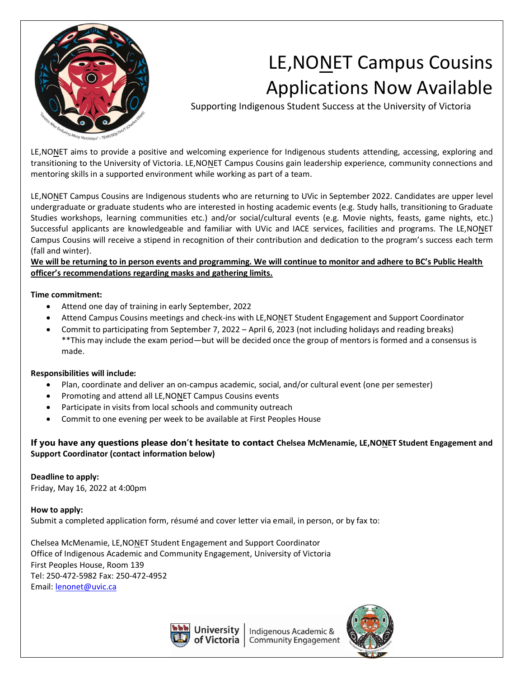

# LE,NONET Campus Cousins Applications Now Available

Supporting Indigenous Student Success at the University of Victoria

LE,NONET aims to provide a positive and welcoming experience for Indigenous students attending, accessing, exploring and transitioning to the University of Victoria. LE,NONET Campus Cousins gain leadership experience, community connections and mentoring skills in a supported environment while working as part of a team.

LE,NONET Campus Cousins are Indigenous students who are returning to UVic in September 2022. Candidates are upper level undergraduate or graduate students who are interested in hosting academic events (e.g. Study halls, transitioning to Graduate Studies workshops, learning communities etc.) and/or social/cultural events (e.g. Movie nights, feasts, game nights, etc.) Successful applicants are knowledgeable and familiar with UVic and IACE services, facilities and programs. The LE,NONET Campus Cousins will receive a stipend in recognition of their contribution and dedication to the program's success each term (fall and winter).

**We will be returning to in person events and programming. We will continue to monitor and adhere to BC's Public Health officer's recommendations regarding masks and gathering limits.** 

### **Time commitment:**

- Attend one day of training in early September, 2022
- Attend Campus Cousins meetings and check-ins with LE,NONET Student Engagement and Support Coordinator
- Commit to participating from September 7, 2022 April 6, 2023 (not including holidays and reading breaks) \*\*This may include the exam period—but will be decided once the group of mentors is formed and a consensus is made.

### **Responsibilities will include:**

- Plan, coordinate and deliver an on-campus academic, social, and/or cultural event (one per semester)
- Promoting and attend all LE,NONET Campus Cousins events
- Participate in visits from local schools and community outreach
- Commit to one evening per week to be available at First Peoples House

## **If you have any questions please don't hesitate to contact Chelsea McMenamie, LE,NONET Student Engagement and Support Coordinator (contact information below)**

### **Deadline to apply:**

Friday, May 16, 2022 at 4:00pm

**How to apply:** Submit a completed application form, résumé and cover letter via email, in person, or by fax to:

Chelsea McMenamie, LE,NONET Student Engagement and Support Coordinator Office of Indigenous Academic and Community Engagement, University of Victoria First Peoples House, Room 139 Tel: 250-472-5982 Fax: 250-472-4952 Email[: lenonet@uvic.ca](mailto:lenonet@uvic.ca)



Indigenous Academic & of Victoria | Community Engagement

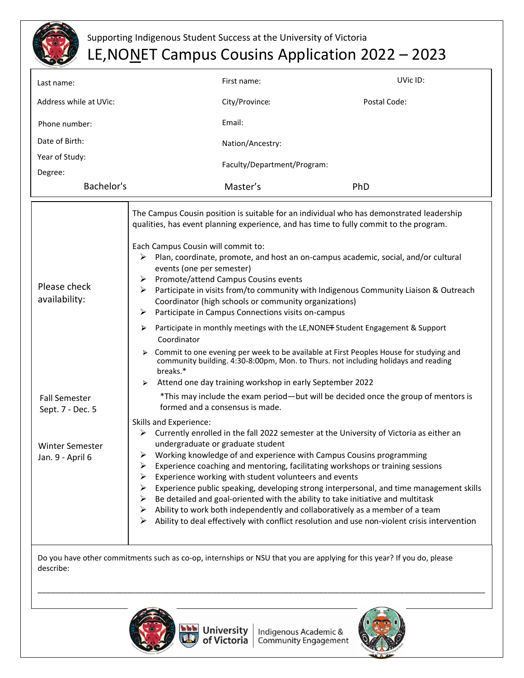

# Supporting Indigenous Student Success at the University of Victoria LE, NONET Campus Cousins Application 2022 - 2023

| Last name:                                                                                                                          |                                                                                                                                                                                                                                                                                                                                                                                                                                                                                                                                                                                                                                                                                                                                                                                                                                                                                                                                                                                         | First name:                 | UVic ID:     |
|-------------------------------------------------------------------------------------------------------------------------------------|-----------------------------------------------------------------------------------------------------------------------------------------------------------------------------------------------------------------------------------------------------------------------------------------------------------------------------------------------------------------------------------------------------------------------------------------------------------------------------------------------------------------------------------------------------------------------------------------------------------------------------------------------------------------------------------------------------------------------------------------------------------------------------------------------------------------------------------------------------------------------------------------------------------------------------------------------------------------------------------------|-----------------------------|--------------|
| Address while at UVic:                                                                                                              |                                                                                                                                                                                                                                                                                                                                                                                                                                                                                                                                                                                                                                                                                                                                                                                                                                                                                                                                                                                         | City/Province:              | Postal Code: |
| Phone number:                                                                                                                       |                                                                                                                                                                                                                                                                                                                                                                                                                                                                                                                                                                                                                                                                                                                                                                                                                                                                                                                                                                                         | Email:                      |              |
| Date of Birth:                                                                                                                      |                                                                                                                                                                                                                                                                                                                                                                                                                                                                                                                                                                                                                                                                                                                                                                                                                                                                                                                                                                                         | Nation/Ancestry:            |              |
| Year of Study:                                                                                                                      |                                                                                                                                                                                                                                                                                                                                                                                                                                                                                                                                                                                                                                                                                                                                                                                                                                                                                                                                                                                         | Faculty/Department/Program: |              |
| Degree:<br>Bachelor's                                                                                                               |                                                                                                                                                                                                                                                                                                                                                                                                                                                                                                                                                                                                                                                                                                                                                                                                                                                                                                                                                                                         | Master's                    | PhD          |
| Please check<br>availability:                                                                                                       | The Campus Cousin position is suitable for an individual who has demonstrated leadership<br>qualities, has event planning experience, and has time to fully commit to the program.<br>Each Campus Cousin will commit to:<br>Plan, coordinate, promote, and host an on-campus academic, social, and/or cultural<br>➤<br>events (one per semester)<br>Promote/attend Campus Cousins events<br>≻<br>Participate in visits from/to community with Indigenous Community Liaison & Outreach<br>≻<br>Coordinator (high schools or community organizations)<br>Participate in Campus Connections visits on-campus<br>➤<br>Participate in monthly meetings with the LE, NONET Student Engagement & Support<br>⋗<br>Coordinator<br>Commit to one evening per week to be available at First Peoples House for studying and<br>⋗<br>community building. 4:30-8:00pm, Mon. to Thurs. not including holidays and reading<br>breaks.*<br>Attend one day training workshop in early September 2022<br>⋗ |                             |              |
| <b>Fall Semester</b><br>Sept. 7 - Dec. 5                                                                                            | *This may include the exam period-but will be decided once the group of mentors is<br>formed and a consensus is made.                                                                                                                                                                                                                                                                                                                                                                                                                                                                                                                                                                                                                                                                                                                                                                                                                                                                   |                             |              |
| <b>Winter Semester</b><br>Jan. 9 - April 6                                                                                          | Skills and Experience:<br>$\triangleright$ Currently enrolled in the fall 2022 semester at the University of Victoria as either an<br>undergraduate or graduate student<br>$\triangleright$ Working knowledge of and experience with Campus Cousins programming<br>Experience coaching and mentoring, facilitating workshops or training sessions<br>Experience working with student volunteers and events<br>Experience public speaking, developing strong interpersonal, and time management skills<br>Be detailed and goal-oriented with the ability to take initiative and multitask<br>Ability to work both independently and collaboratively as a member of a team<br>⋗<br>Ability to deal effectively with conflict resolution and use non-violent crisis intervention<br>➤                                                                                                                                                                                                      |                             |              |
| Do you have other commitments such as co-op, internships or NSU that you are applying for this year? If you do, please<br>describe: |                                                                                                                                                                                                                                                                                                                                                                                                                                                                                                                                                                                                                                                                                                                                                                                                                                                                                                                                                                                         |                             |              |